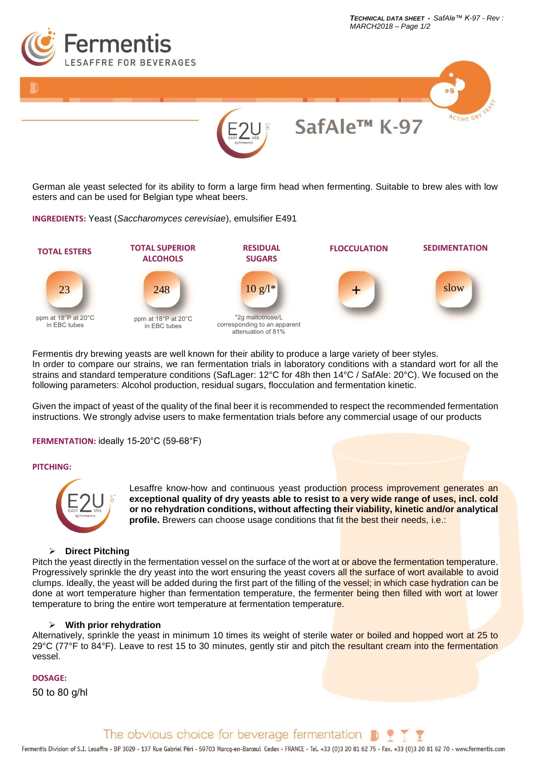

*TECHNICAL DATA SHEET - SafAle™ K-97 - Rev :*

German ale yeast selected for its ability to form a large firm head when fermenting. Suitable to brew ales with low esters and can be used for Belgian type wheat beers.

# **INGREDIENTS:** Yeast (*Saccharomyces cerevisiae*), emulsifier E491



Fermentis dry brewing yeasts are well known for their ability to produce a large variety of beer styles. In order to compare our strains, we ran fermentation trials in laboratory conditions with a standard wort for all the strains and standard temperature conditions (SafLager: 12°C for 48h then 14°C / SafAle: 20°C). We focused on the following parameters: Alcohol production, residual sugars, flocculation and fermentation kinetic.

Given the impact of yeast of the quality of the final beer it is recommended to respect the recommended fermentation instructions. We strongly advise users to make fermentation trials before any commercial usage of our products

#### **FERMENTATION:** ideally 15-20°C (59-68°F)

#### **PITCHING:**



Lesaffre know-how and continuous yeast production process improvement generates an **exceptional quality of dry yeasts able to resist to a very wide range of uses, incl. cold or no rehydration conditions, without affecting their viability, kinetic and/or analytical profile.** Brewers can choose usage conditions that fit the best their needs, i.e.:

# ➢ **Direct Pitching**

Pitch the yeast directly in the fermentation vessel on the surface of the wort at or above the fermentation temperature. Progressively sprinkle the dry yeast into the wort ensuring the yeast covers all the surface of wort available to avoid clumps. Ideally, the yeast will be added during the first part of the filling of the vessel; in which case hydration can be done at wort temperature higher than fermentation temperature, the fermenter being then filled with wort at lower temperature to bring the entire wort temperature at fermentation temperature.

#### ➢ **With prior rehydration**

Alternatively, sprinkle the yeast in minimum 10 times its weight of sterile water or boiled and hopped wort at 25 to 29°C (77°F to 84°F). Leave to rest 15 to 30 minutes, gently stir and pitch the resultant cream into the fermentation vessel.

## **DOSAGE:**

50 to 80 g/hl

The obvious choice for beverage fermentation